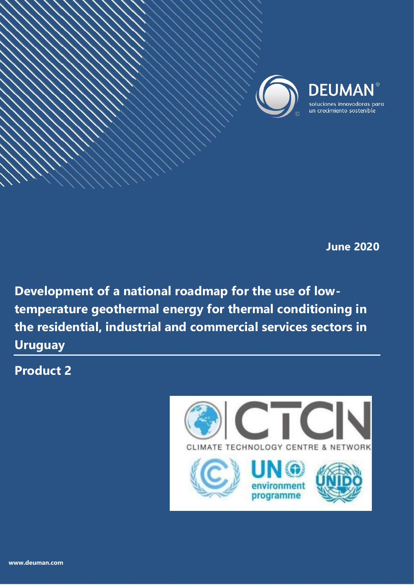

**June 2020**

**Development of a national roadmap for the use of lowtemperature geothermal energy for thermal conditioning in the residential, industrial and commercial services sectors in Uruguay** 

Development of a national roadmap for the use of low-temperature geothermal energy for thermal

 $\cal{I}$ ioning in the residential and commercial services services services services services sectors services se

**Climate Technology Centre & Network (CTCN)**

**Product 2**

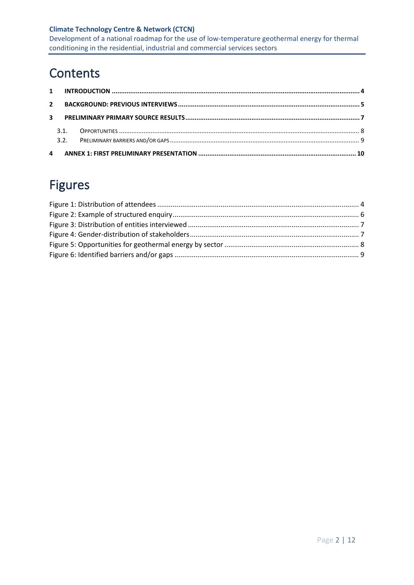Development of a national roadmap for the use of low-temperature geothermal energy for thermal conditioning in the residential, industrial and commercial services sectors

# **Contents**

# Figures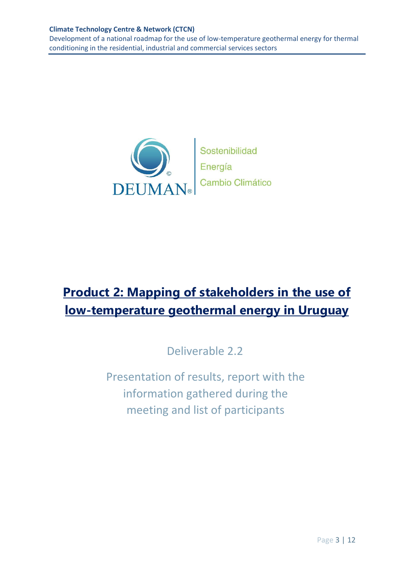Development of a national roadmap for the use of low-temperature geothermal energy for thermal conditioning in the residential, industrial and commercial services sectors



Sostenibilidad Energía<br>Cambio Climático

# **Product 2: Mapping of stakeholders in the use of low-temperature geothermal energy in Uruguay**

Deliverable 2.2

Presentation of results, report with the information gathered during the meeting and list of participants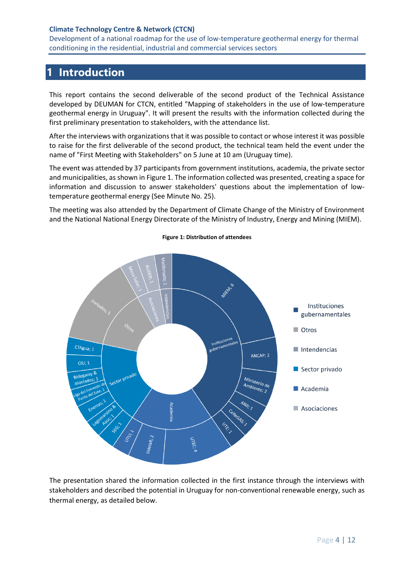Development of a national roadmap for the use of low-temperature geothermal energy for thermal conditioning in the residential, industrial and commercial services sectors

## <span id="page-3-0"></span>**1 Introduction**

This report contains the second deliverable of the second product of the Technical Assistance developed by DEUMAN for CTCN, entitled "Mapping of stakeholders in the use of low-temperature geothermal energy in Uruguay". It will present the results with the information collected during the first preliminary presentation to stakeholders, with the attendance list.

After the interviews with organizations that it was possible to contact or whose interest it was possible to raise for the first deliverable of the second product, the technical team held the event under the name of "First Meeting with Stakeholders" on 5 June at 10 am (Uruguay time).

The event was attended by 37 participants from government institutions, academia, the private sector and municipalities, as shown i[n Figure 1.](#page-3-1) The information collected was presented, creating a space for information and discussion to answer stakeholders' questions about the implementation of lowtemperature geothermal energy (See Minute No. 25).

The meeting was also attended by the Department of Climate Change of the Ministry of Environment and the National National Energy Directorate of the Ministry of Industry, Energy and Mining (MIEM).

<span id="page-3-1"></span>

**Figure 1: Distribution of attendees** 

The presentation shared the information collected in the first instance through the interviews with stakeholders and described the potential in Uruguay for non-conventional renewable energy, such as thermal energy, as detailed below.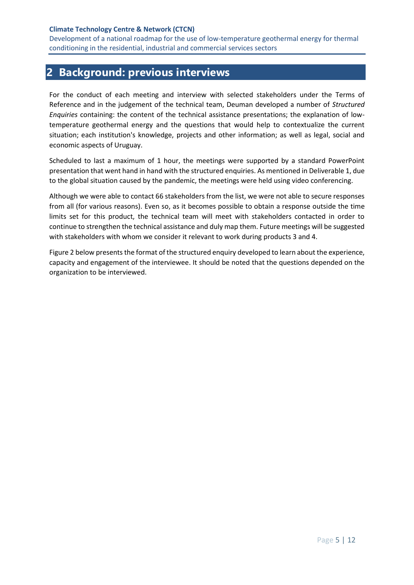## <span id="page-4-0"></span>**2 Background: previous interviews**

For the conduct of each meeting and interview with selected stakeholders under the Terms of Reference and in the judgement of the technical team, Deuman developed a number of *Structured Enquiries* containing: the content of the technical assistance presentations; the explanation of lowtemperature geothermal energy and the questions that would help to contextualize the current situation; each institution's knowledge, projects and other information; as well as legal, social and economic aspects of Uruguay.

Scheduled to last a maximum of 1 hour, the meetings were supported by a standard PowerPoint presentation that went hand in hand with the structured enquiries. As mentioned in Deliverable 1, due to the global situation caused by the pandemic, the meetings were held using video conferencing.

Although we were able to contact 66 stakeholders from the list, we were not able to secure responses from all (for various reasons). Even so, as it becomes possible to obtain a response outside the time limits set for this product, the technical team will meet with stakeholders contacted in order to continue to strengthen the technical assistance and duly map them. Future meetings will be suggested with stakeholders with whom we consider it relevant to work during products 3 and 4.

[Figure 2](#page-5-0) below presents the format of the structured enquiry developed to learn about the experience, capacity and engagement of the interviewee. It should be noted that the questions depended on the organization to be interviewed.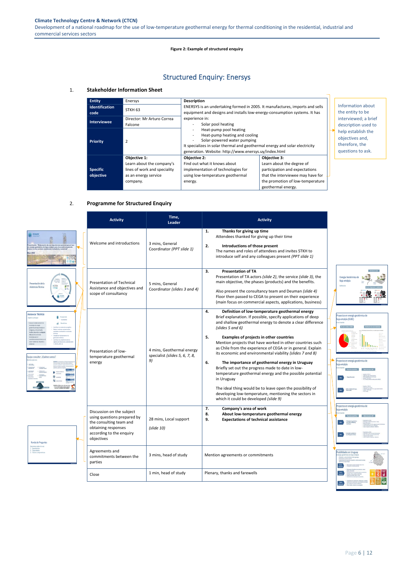<span id="page-5-0"></span>**Climate Technology Centre & Network (CTCN)** Development of a national roadmap for the use of low-temperature geothermal energy for thermal conditioning in the residential, industrial and commercial services sectors

Page 6 | 12

### **Figure 2: Example of structured enquiry**

## Structured Enquiry: Enersys

### 1. **Stakeholder Information Sheet**

### 2. **Programme for Structured Enquiry**



| <b>Entity</b>         | Enersys                      | <b>Description</b>                                                                                                                                                                                                             |                                   |                                                                              |
|-----------------------|------------------------------|--------------------------------------------------------------------------------------------------------------------------------------------------------------------------------------------------------------------------------|-----------------------------------|------------------------------------------------------------------------------|
| <b>Identification</b> |                              | ENERSYS is an undertaking formed in 2005. It manufactures, imports and sells                                                                                                                                                   |                                   | Information about                                                            |
| code                  | STKH <sub>63</sub>           | equipment and designs and installs low-energy-consumption systems. It has                                                                                                                                                      |                                   | the entity to be                                                             |
| <b>Interviewee</b>    | Director: Mr Arturo Correa   | experience in:                                                                                                                                                                                                                 |                                   | interviewed; a brief                                                         |
|                       | Falcone                      | Solar pool heating                                                                                                                                                                                                             |                                   | description used to                                                          |
| <b>Priority</b>       | 2                            | Heat-pump pool heating<br>Heat-pump heating and cooling<br>Solar-powered water pumping<br>It specializes in solar thermal and geothermal energy and solar electricity<br>generation. Website: http://www.enersys.uy/index.html |                                   | help establish the<br>objectives and,<br>therefore, the<br>questions to ask. |
|                       | Objective 1:                 | <b>Objective 2:</b>                                                                                                                                                                                                            | <b>Objective 3:</b>               |                                                                              |
|                       | Learn about the company's    | Find out what it knows about                                                                                                                                                                                                   | Learn about the degree of         |                                                                              |
| <b>Specific</b>       | lines of work and speciality | implementation of technologies for                                                                                                                                                                                             | participation and expectations    |                                                                              |
| objective             | as an energy service         | using low-temperature geothermal                                                                                                                                                                                               | that the interviewee may have for |                                                                              |
|                       | company.                     | energy.                                                                                                                                                                                                                        | the promotion of low-temperature  |                                                                              |
|                       |                              |                                                                                                                                                                                                                                | geothermal energy.                |                                                                              |

| <b>Activity</b>                                                                                                                                      | Time,<br><b>Leader</b>                                            | <b>Activity</b>                                                                                                                                                                                                                                                                                                                                                                                                                                                                                                                                                                                                                                                                                                                                                                                              |                                                                                                                   |
|------------------------------------------------------------------------------------------------------------------------------------------------------|-------------------------------------------------------------------|--------------------------------------------------------------------------------------------------------------------------------------------------------------------------------------------------------------------------------------------------------------------------------------------------------------------------------------------------------------------------------------------------------------------------------------------------------------------------------------------------------------------------------------------------------------------------------------------------------------------------------------------------------------------------------------------------------------------------------------------------------------------------------------------------------------|-------------------------------------------------------------------------------------------------------------------|
| Welcome and introductions<br>3 mins, General<br>Coordinator (PPT slide 1)                                                                            |                                                                   | 1.<br>Thanks for giving up time<br>Attendees thanked for giving up their time<br>2.<br>Introductions of those present<br>The names and roles of attendees and invites STKH to<br>introduce self and any colleagues present (PPT slide 1)                                                                                                                                                                                                                                                                                                                                                                                                                                                                                                                                                                     |                                                                                                                   |
| <b>Presentation of Technical</b><br>Assistance and objectives and<br>scope of consultancy                                                            | 5 mins, General<br>Coordinator (slides 3 and 4)                   | 3.<br><b>Presentation of TA</b><br>Presentation of TA actors (slide 2), the service (slide 3), the<br>main objective, the phases (products) and the benefits.<br>Also present the consultancy team and Deuman (slide 4)<br>Floor then passed to CEGA to present on their experience<br>(main focus on commercial aspects, applications, business)                                                                                                                                                                                                                                                                                                                                                                                                                                                            | Energía Geotérmica de<br>Baja entalpía<br>Definición                                                              |
| Presentation of low-<br>temperature geothermal<br>energy                                                                                             | 4 mins, Geothermal energy<br>specialist (slides 5, 6, 7, 8,<br>9) | Definition of low-temperature geothermal energy<br>4.<br>Brief explanation. If possible, specify applications of deep<br>and shallow geothermal energy to denote a clear difference<br>(slides $5$ and $6$ )<br>5.<br>Examples of projects in other countries<br>Mention projects that have worked in other countries such<br>as Chile from the experience of CEGA or in general. Explain<br>its economic and environmental viability (slides 7 and 8)<br>6.<br>The importance of geothermal energy in Uruguay<br>Briefly set out the progress made to date in low-<br>temperature geothermal energy and the possible potential<br>in Uruguay<br>The ideal thing would be to leave open the possibility of<br>developing low-temperature, mentioning the sectors in<br>which it could be developed (slide 9) | Proyectos en energía geotérmica de<br>baja entalpía (EGBE)<br>Proyectos en energía geotérmica de<br>baja entalpía |
| Discussion on the subject<br>using questions prepared by<br>the consulting team and<br>obtaining responses<br>according to the enquiry<br>objectives | 28 mins, Local support<br>$(s$ lide 10)                           | Company's area of work<br>7.<br>8.<br>About low-temperature geothermal energy<br>9.<br><b>Expectations of technical assistance</b>                                                                                                                                                                                                                                                                                                                                                                                                                                                                                                                                                                                                                                                                           | Proyectos en energía geotérmica de<br>baja entalpía                                                               |







| Konda de Pregunt       |
|------------------------|
| Queremos saber de sus: |
| 1. Experiencias        |
| 2. Capacidades         |
| 3. Futuros compromisos |

| Agreements and<br>commitments between the<br>parties | 3 mins, head of study | Mention agreements or commitments | Posit<br>Energi<br>  Fan<br>  - Fan |  |
|------------------------------------------------------|-----------------------|-----------------------------------|-------------------------------------|--|
| Close                                                | 1 min, head of study  | Plenary, thanks and farewells     |                                     |  |

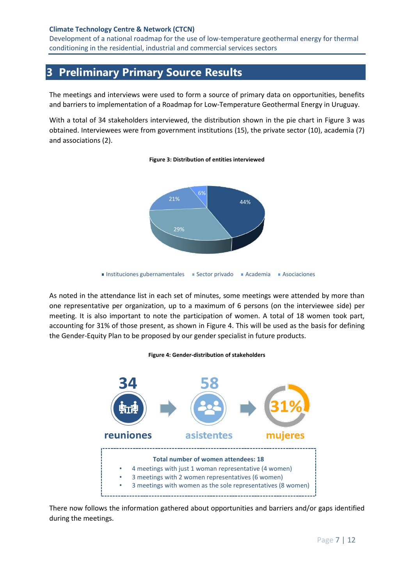Development of a national roadmap for the use of low-temperature geothermal energy for thermal conditioning in the residential, industrial and commercial services sectors

## <span id="page-6-0"></span>**3 Preliminary Primary Source Results**

The meetings and interviews were used to form a source of primary data on opportunities, benefits and barriers to implementation of a Roadmap for Low-Temperature Geothermal Energy in Uruguay.

<span id="page-6-1"></span>With a total of 34 stakeholders interviewed, the distribution shown in the pie chart in [Figure 3](#page-6-1) was obtained. Interviewees were from government institutions (15), the private sector (10), academia (7) and associations (2).

# 44% 29% 21% 6%

#### **Figure 3: Distribution of entities interviewed**

As noted in the attendance list in each set of minutes, some meetings were attended by more than one representative per organization, up to a maximum of 6 persons (on the interviewee side) per meeting. It is also important to note the participation of women. A total of 18 women took part, accounting for 31% of those present, as shown in [Figure 4.](#page-6-2) This will be used as the basis for defining the Gender-Equity Plan to be proposed by our gender specialist in future products.

### **Figure 4: Gender-distribution of stakeholders**

<span id="page-6-2"></span>

There now follows the information gathered about opportunities and barriers and/or gaps identified during the meetings.

Instituciones gubernamentales Instituciones Academia Asociaciones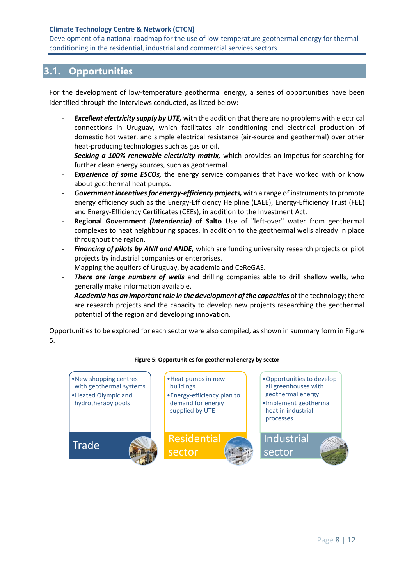Development of a national roadmap for the use of low-temperature geothermal energy for thermal conditioning in the residential, industrial and commercial services sectors

### <span id="page-7-0"></span>**3.1. Opportunities**

For the development of low-temperature geothermal energy, a series of opportunities have been identified through the interviews conducted, as listed below:

- **Excellent electricity supply by UTE,** with the addition that there are no problems with electrical connections in Uruguay, which facilitates air conditioning and electrical production of domestic hot water, and simple electrical resistance (air-source and geothermal) over other heat-producing technologies such as gas or oil.
- Seeking a 100% renewable electricity matrix, which provides an impetus for searching for further clean energy sources, such as geothermal.
- **Experience of some ESCOs,** the energy service companies that have worked with or know about geothermal heat pumps.
- *Government incentives for energy-efficiency projects,* with a range of instruments to promote energy efficiency such as the Energy-Efficiency Helpline (LAEE), Energy-Efficiency Trust (FEE) and Energy-Efficiency Certificates (CEEs), in addition to the Investment Act.
- **Regional Government** *(Intendencia)* **of Salto** Use of "left-over" water from geothermal complexes to heat neighbouring spaces, in addition to the geothermal wells already in place throughout the region.
- *Financing of pilots by ANII and ANDE,* which are funding university research projects or pilot projects by industrial companies or enterprises.
- Mapping the aquifers of Uruguay, by academia and CeReGAS.
- There are large numbers of wells and drilling companies able to drill shallow wells, who generally make information available.
- *Academia has an important role in the development of the capacities* of the technology; there are research projects and the capacity to develop new projects researching the geothermal potential of the region and developing innovation.

Opportunities to be explored for each sector were also compiled, as shown in summary form i[n Figure](#page-7-1)  [5.](#page-7-1)

<span id="page-7-1"></span>

### **Figure 5: Opportunities for geothermal energy by sector**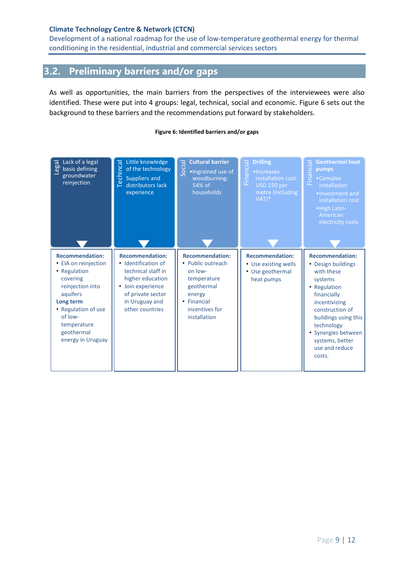Development of a national roadmap for the use of low-temperature geothermal energy for thermal conditioning in the residential, industrial and commercial services sectors

### <span id="page-8-0"></span>**3.2. Preliminary barriers and/or gaps**

As well as opportunities, the main barriers from the perspectives of the interviewees were also identified. These were put into 4 groups: legal, technical, social and economic. [Figure 6](#page-8-1) sets out the background to these barriers and the recommendations put forward by stakeholders.

### **Figure 6: Identified barriers and/or gaps**

<span id="page-8-1"></span>

| Lack of a legal<br>ᅙ<br>eo<br>O<br>basis defining<br>groundwater<br>reinjection                                                                                                                             | Little knowledge<br>echincal<br>of the technology<br>Suppliers and<br>distributors lack<br>匚<br>experience                                                                        | <b>Cultural barrier</b><br>Social<br>. Ingrained use of<br>woodburning:<br>54% of<br>households                                                | <b>Drilling</b><br>$\overline{\sigma}$<br>Financi<br>•Increases<br>installation cost:<br>USD 150 per<br>metre (including<br>$VAT$ <sup>*</sup> | <b>Geothermal heat</b><br>ᅙ<br><b>TO</b><br>pumps<br>Fina<br>•Complex<br>installation<br>. Investment and<br>installation cost<br>• High Latin-<br>American<br>electricity costs                                                                     |
|-------------------------------------------------------------------------------------------------------------------------------------------------------------------------------------------------------------|-----------------------------------------------------------------------------------------------------------------------------------------------------------------------------------|------------------------------------------------------------------------------------------------------------------------------------------------|------------------------------------------------------------------------------------------------------------------------------------------------|------------------------------------------------------------------------------------------------------------------------------------------------------------------------------------------------------------------------------------------------------|
| <b>Recommendation:</b><br>• EIA on reinjection<br>• Regulation<br>covering<br>reinjection into<br>aquifers<br>Long term<br>• Regulation of use<br>of low-<br>temperature<br>geothermal<br>energy in Uruguay | <b>Recommendation:</b><br>• Identification of<br>technical staff in<br>higher education<br>Join experience<br>$\bullet$<br>of private sector<br>in Uruguay and<br>other countries | <b>Recommendation:</b><br>• Public outreach<br>on low-<br>temperature<br>geothermal<br>energy<br>• Financial<br>incentives for<br>installation | <b>Recommendation:</b><br>• Use existing wells<br>• Use geothermal<br>heat pumps                                                               | <b>Recommendation:</b><br>• Design buildings<br>with these<br>systems<br>• Regulation<br>financially<br>incentivizing<br>construction of<br>buildings using this<br>technology<br>• Synergies between<br>systems, better<br>use and reduce<br>costs. |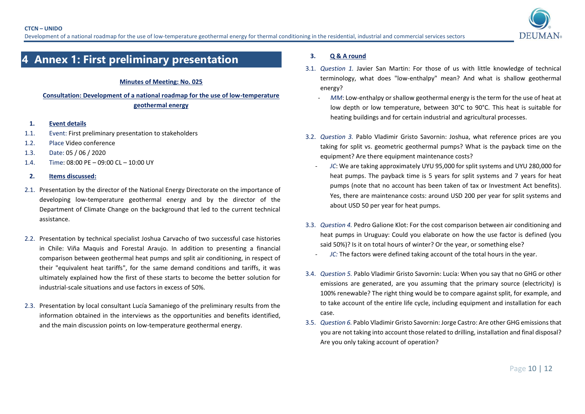

## **4 Annex 1: First preliminary presentation**

### **Minutes of Meeting: No. 025**

**Consultation: Development of a national roadmap for the use of low-temperature geothermal energy**

- **1. Event details**
- 1.1. Event: First preliminary presentation to stakeholders
- 1.2. Place Video conference
- 1.3. Date: 05 / 06 / 2020
- 1.4. Time: 08:00 PE 09:00 CL 10:00 UY
- **2. Items discussed:**
- 2.1. Presentation by the director of the National Energy Directorate on the importance of developing low-temperature geothermal energy and by the director of the Department of Climate Change on the background that led to the current technical assistance.
- <span id="page-9-0"></span>2.2. Presentation by technical specialist Joshua Carvacho of two successful case histories in Chile: Viña Maquis and Forestal Araujo. In addition to presenting a financial comparison between geothermal heat pumps and split air conditioning, in respect of their "equivalent heat tariffs", for the same demand conditions and tariffs, it was ultimately explained how the first of these starts to become the better solution for industrial-scale situations and use factors in excess of 50%.
- 2.3. Presentation by local consultant Lucía Samaniego of the preliminary results from the information obtained in the interviews as the opportunities and benefits identified, and the main discussion points on low-temperature geothermal energy.

### **3. Q & A round**

- 3.1. *Question 1.* Javier San Martin: For those of us with little knowledge of technical terminology, what does "low-enthalpy" mean? And what is shallow geothermal energy?
	- *MM*: Low-enthalpy or shallow geothermal energy is the term for the use of heat at low depth or low temperature, between 30°C to 90°C. This heat is suitable for heating buildings and for certain industrial and agricultural processes.
- 3.2. *Question 3.* Pablo Vladimir Gristo Savornin: Joshua, what reference prices are you taking for split vs. geometric geothermal pumps? What is the payback time on the equipment? Are there equipment maintenance costs?
	- *JC*: We are taking approximately UYU 95,000 for split systems and UYU 280,000 for heat pumps. The payback time is 5 years for split systems and 7 years for heat pumps (note that no account has been taken of tax or Investment Act benefits). Yes, there are maintenance costs: around USD 200 per year for split systems and about USD 50 per year for heat pumps.
- 3.3. *Question 4.* Pedro Galione Klot: For the cost comparison between air conditioning and heat pumps in Uruguay: Could you elaborate on how the use factor is defined (you said 50%)? Is it on total hours of winter? Or the year, or something else?
	- *JC:* The factors were defined taking account of the total hours in the year.
- 3.4. *Question 5.* Pablo Vladimir Gristo Savornin: Lucía: When you say that no GHG or other emissions are generated, are you assuming that the primary source (electricity) is 100% renewable? The right thing would be to compare against split, for example, and to take account of the entire life cycle, including equipment and installation for each case.
- 3.5. *Question 6.* Pablo Vladimir Gristo Savornin: Jorge Castro: Are other GHG emissions that you are not taking into account those related to drilling, installation and final disposal? Are you only taking account of operation?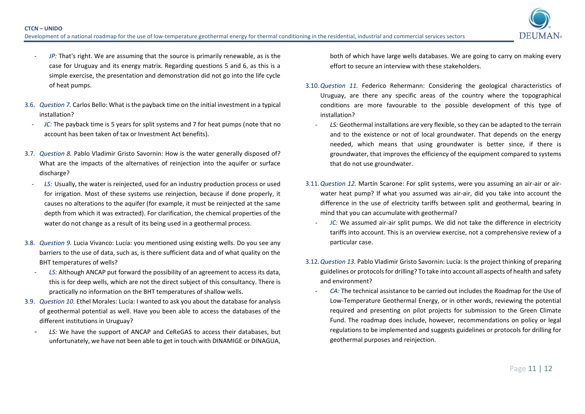

- JP: That's right. We are assuming that the source is primarily renewable, as is the case for Uruguay and its energy matrix. Regarding questions 5 and 6, as this is a simple exercise, the presentation and demonstration did not go into the life cycle of heat pumps.
- 3.6. *Question 7.* Carlos Bello: What is the payback time on the initial investment in a typical installation?
	- *JC*: The payback time is 5 years for split systems and 7 for heat pumps (note that no account has been taken of tax or Investment Act benefits).
- 3.7. *Question 8.* Pablo Vladimir Gristo Savornin: How is the water generally disposed of? What are the impacts of the alternatives of reinjection into the aquifer or surface discharge?
- LS: Usually, the water is reinjected, used for an industry production process or used for irrigation. Most of these systems use reinjection, because if done properly, it causes no alterations to the aquifer (for example, it must be reinjected at the same depth from which it was extracted). For clarification, the chemical properties of the water do not change as a result of its being used in a geothermal process.
- 3.8. *Question 9.* Lucia Vivanco: Lucía: you mentioned using existing wells. Do you see any barriers to the use of data, such as, is there sufficient data and of what quality on the BHT temperatures of wells?
	- LS: Although ANCAP put forward the possibility of an agreement to access its data, this is for deep wells, which are not the direct subject of this consultancy. There is practically no information on the BHT temperatures of shallow wells.
- 3.9. *Question 10.* Ethel Morales: Lucía: I wanted to ask you about the database for analysis of geothermal potential as well. Have you been able to access the databases of the different institutions in Uruguay?
	- LS: We have the support of ANCAP and CeReGAS to access their databases, but unfortunately, we have not been able to get in touch with DINAMIGE or DINAGUA,

both of which have large wells databases. We are going to carry on making every effort to secure an interview with these stakeholders.

- 3.10.*Question 11.* Federico Rehermann: Considering the geological characteristics of Uruguay, are there any specific areas of the country where the topographical conditions are more favourable to the possible development of this type of installation?
	- LS: Geothermal installations are very flexible, so they can be adapted to the terrain and to the existence or not of local groundwater. That depends on the energy needed, which means that using groundwater is better since, if there is groundwater, that improves the efficiency of the equipment compared to systems that do not use groundwater.
- 3.11.*Question 12.* Martín Scarone: For split systems, were you assuming an air-air or airwater heat pump? If what you assumed was air-air, did you take into account the difference in the use of electricity tariffs between split and geothermal, bearing in mind that you can accumulate with geothermal?
	- *JC*: We assumed air-air split pumps. We did not take the difference in electricity tariffs into account. This is an overview exercise, not a comprehensive review of a particular case.
- 3.12.*Question 13.* Pablo Vladimir Gristo Savornin: Lucía: Is the project thinking of preparing guidelines or protocols for drilling? To take into account all aspects of health and safety and environment?
	- *CA:* The technical assistance to be carried out includes the Roadmap for the Use of Low-Temperature Geothermal Energy, or in other words, reviewing the potential required and presenting on pilot projects for submission to the Green Climate Fund. The roadmap does include, however, recommendations on policy or legal regulations to be implemented and suggests guidelines or protocols for drilling for geothermal purposes and reinjection.